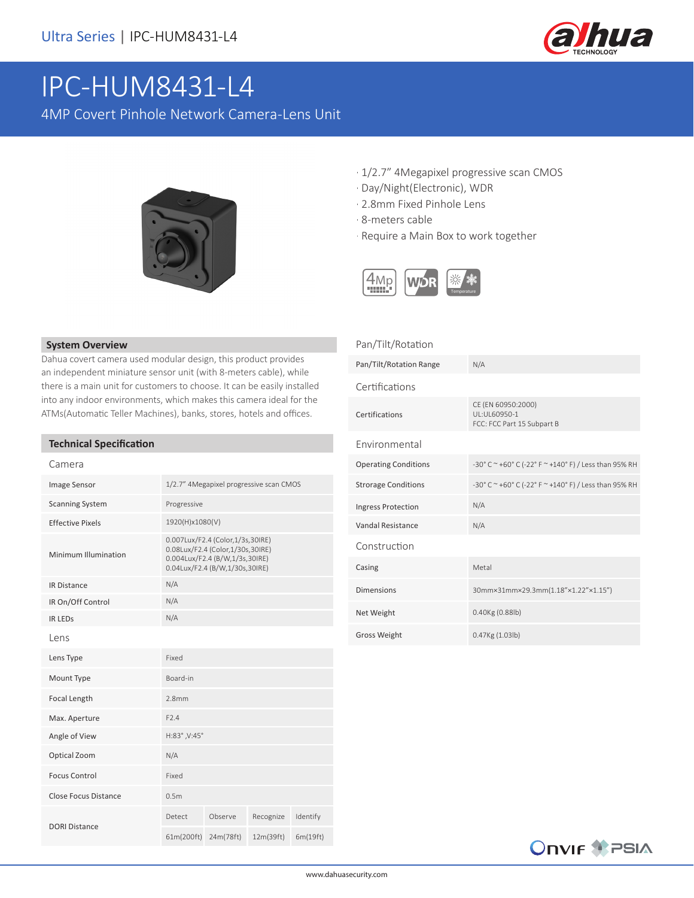

# IPC-HUM8431-L4

4MP Covert Pinhole Network Camera-Lens Unit



- · 1/2.7" 4Megapixel progressive scan CMOS
- · Day/Night(Electronic), WDR
- · 2.8mm Fixed Pinhole Lens
- · 8-meters cable

Pan/Tilt/Rotation

· Require a Main Box to work together



#### **System Overview**

Dahua covert camera used modular design, this product provides an independent miniature sensor unit (with 8-meters cable), while there is a main unit for customers to choose. It can be easily installed into any indoor environments, which makes this camera ideal for the ATMs(Automatic Teller Machines), banks, stores, hotels and offices.

## **Technical Specification**

| Camera                  |                                                                                                                                          |           |           |          |
|-------------------------|------------------------------------------------------------------------------------------------------------------------------------------|-----------|-----------|----------|
| <b>Image Sensor</b>     | 1/2.7" 4Megapixel progressive scan CMOS                                                                                                  |           |           |          |
| <b>Scanning System</b>  | Progressive                                                                                                                              |           |           |          |
| <b>Effective Pixels</b> | 1920(H)x1080(V)                                                                                                                          |           |           |          |
| Minimum Illumination    | 0.007Lux/F2.4 (Color,1/3s,30IRE)<br>0.08Lux/F2.4 (Color,1/30s,30IRE)<br>0.004Lux/F2.4 (B/W,1/3s,30IRE)<br>0.04Lux/F2.4 (B/W,1/30s,30IRE) |           |           |          |
| <b>IR Distance</b>      | N/A                                                                                                                                      |           |           |          |
| IR On/Off Control       | N/A                                                                                                                                      |           |           |          |
| <b>IR LEDS</b>          | N/A                                                                                                                                      |           |           |          |
| Lens                    |                                                                                                                                          |           |           |          |
| Lens Type               | Fixed                                                                                                                                    |           |           |          |
| Mount Type              | Board-in                                                                                                                                 |           |           |          |
| Focal Length            | 2.8mm                                                                                                                                    |           |           |          |
| Max. Aperture           | F2.4                                                                                                                                     |           |           |          |
| Angle of View           | H:83°, V:45°                                                                                                                             |           |           |          |
| Optical Zoom            | N/A                                                                                                                                      |           |           |          |
| <b>Focus Control</b>    | Fixed                                                                                                                                    |           |           |          |
| Close Focus Distance    | 0.5 <sub>m</sub>                                                                                                                         |           |           |          |
| <b>DORI Distance</b>    | Detect                                                                                                                                   | Observe   | Recognize | Identify |
|                         | 61m(200ft)                                                                                                                               | 24m(78ft) | 12m(39ft) | 6m(19ft) |

| Pan/Tilt/Rotation Range     | N/A                                                              |
|-----------------------------|------------------------------------------------------------------|
| Certifications              |                                                                  |
| Certifications              | CE (EN 60950:2000)<br>UL:UL60950-1<br>FCC: FCC Part 15 Subpart B |
| Environmental               |                                                                  |
| <b>Operating Conditions</b> | -30° C ~ +60° C (-22° F ~ +140° F) / Less than 95% RH            |
| <b>Strorage Conditions</b>  | -30° C ~ +60° C (-22° F ~ +140° F) / Less than 95% RH            |
| Ingress Protection          | N/A                                                              |
| Vandal Resistance           | N/A                                                              |
| Construction                |                                                                  |
| Casing                      | Metal                                                            |
| <b>Dimensions</b>           | 30mm×31mm×29.3mm(1.18"×1.22"×1.15")                              |
| Net Weight                  | $0.40$ Kg $(0.88$ lb)                                            |
| <b>Gross Weight</b>         | 0.47Kg (1.03lb)                                                  |